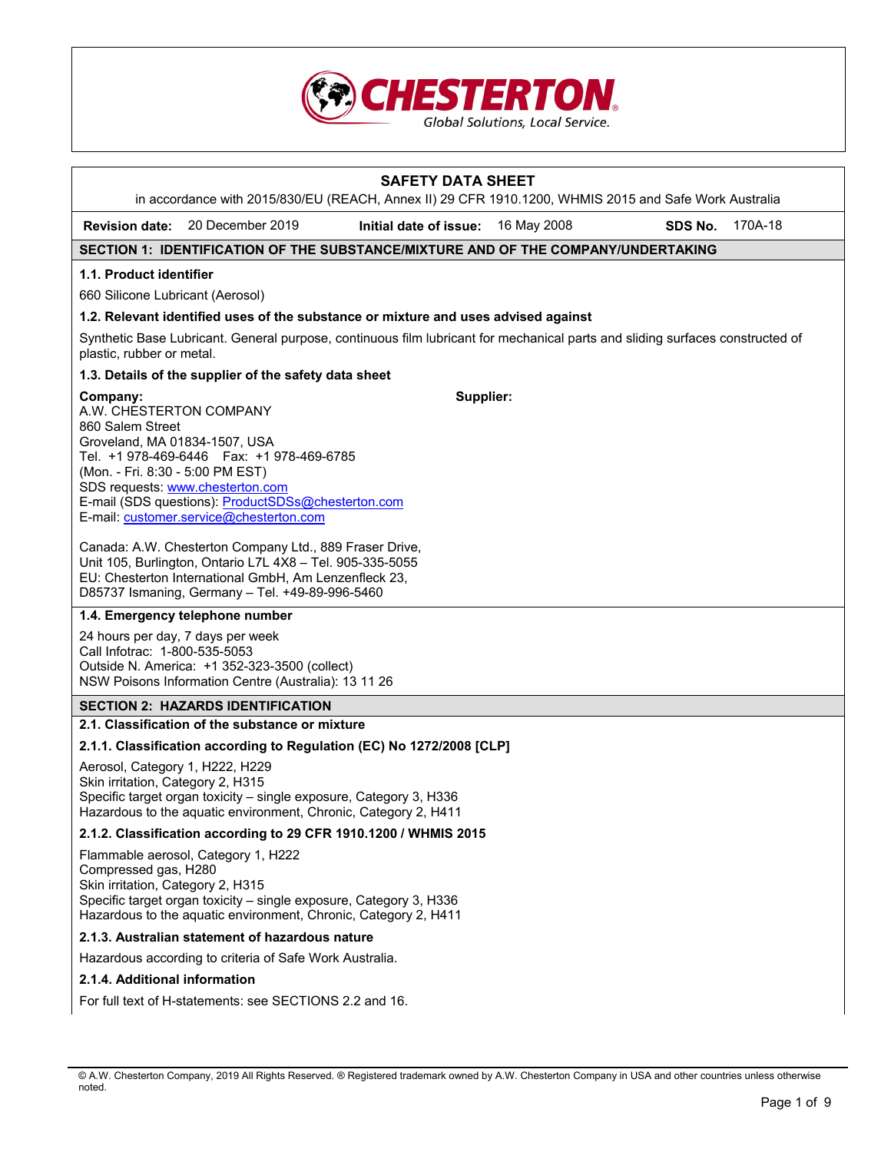

|                                                                                                                                                                                                                                           | in accordance with 2015/830/EU (REACH, Annex II) 29 CFR 1910.1200, WHMIS 2015 and Safe Work Australia                                                                                                                            | <b>SAFETY DATA SHEET</b> |             |         |         |
|-------------------------------------------------------------------------------------------------------------------------------------------------------------------------------------------------------------------------------------------|----------------------------------------------------------------------------------------------------------------------------------------------------------------------------------------------------------------------------------|--------------------------|-------------|---------|---------|
| <b>Revision date:</b>                                                                                                                                                                                                                     | 20 December 2019                                                                                                                                                                                                                 | Initial date of issue:   | 16 May 2008 | SDS No. | 170A-18 |
|                                                                                                                                                                                                                                           | SECTION 1: IDENTIFICATION OF THE SUBSTANCE/MIXTURE AND OF THE COMPANY/UNDERTAKING                                                                                                                                                |                          |             |         |         |
| 1.1. Product identifier                                                                                                                                                                                                                   |                                                                                                                                                                                                                                  |                          |             |         |         |
| 660 Silicone Lubricant (Aerosol)                                                                                                                                                                                                          |                                                                                                                                                                                                                                  |                          |             |         |         |
|                                                                                                                                                                                                                                           | 1.2. Relevant identified uses of the substance or mixture and uses advised against                                                                                                                                               |                          |             |         |         |
| plastic, rubber or metal.                                                                                                                                                                                                                 | Synthetic Base Lubricant. General purpose, continuous film lubricant for mechanical parts and sliding surfaces constructed of                                                                                                    |                          |             |         |         |
|                                                                                                                                                                                                                                           | 1.3. Details of the supplier of the safety data sheet                                                                                                                                                                            |                          |             |         |         |
| Company:<br>A.W. CHESTERTON COMPANY<br>860 Salem Street<br>Groveland, MA 01834-1507, USA<br>(Mon. - Fri. 8:30 - 5:00 PM EST)                                                                                                              | Tel. +1 978-469-6446    Fax: +1 978-469-6785<br>SDS requests: www.chesterton.com<br>E-mail (SDS questions): ProductSDSs@chesterton.com<br>E-mail: customer.service@chesterton.com                                                | Supplier:                |             |         |         |
|                                                                                                                                                                                                                                           | Canada: A.W. Chesterton Company Ltd., 889 Fraser Drive,<br>Unit 105, Burlington, Ontario L7L 4X8 - Tel. 905-335-5055<br>EU: Chesterton International GmbH, Am Lenzenfleck 23,<br>D85737 Ismaning, Germany - Tel. +49-89-996-5460 |                          |             |         |         |
|                                                                                                                                                                                                                                           | 1.4. Emergency telephone number                                                                                                                                                                                                  |                          |             |         |         |
| 24 hours per day, 7 days per week<br>Call Infotrac: 1-800-535-5053<br>Outside N. America: +1 352-323-3500 (collect)<br>NSW Poisons Information Centre (Australia): 13 11 26                                                               |                                                                                                                                                                                                                                  |                          |             |         |         |
|                                                                                                                                                                                                                                           | <b>SECTION 2: HAZARDS IDENTIFICATION</b>                                                                                                                                                                                         |                          |             |         |         |
|                                                                                                                                                                                                                                           | 2.1. Classification of the substance or mixture                                                                                                                                                                                  |                          |             |         |         |
|                                                                                                                                                                                                                                           | 2.1.1. Classification according to Regulation (EC) No 1272/2008 [CLP]                                                                                                                                                            |                          |             |         |         |
| Aerosol, Category 1, H222, H229<br>Skin irritation, Category 2, H315<br>Specific target organ toxicity - single exposure, Category 3, H336<br>Hazardous to the aquatic environment, Chronic, Category 2, H411                             |                                                                                                                                                                                                                                  |                          |             |         |         |
| 2.1.2. Classification according to 29 CFR 1910.1200 / WHMIS 2015                                                                                                                                                                          |                                                                                                                                                                                                                                  |                          |             |         |         |
| Flammable aerosol, Category 1, H222<br>Compressed gas, H280<br>Skin irritation, Category 2, H315<br>Specific target organ toxicity - single exposure, Category 3, H336<br>Hazardous to the aquatic environment, Chronic, Category 2, H411 |                                                                                                                                                                                                                                  |                          |             |         |         |
|                                                                                                                                                                                                                                           | 2.1.3. Australian statement of hazardous nature                                                                                                                                                                                  |                          |             |         |         |
|                                                                                                                                                                                                                                           | Hazardous according to criteria of Safe Work Australia.                                                                                                                                                                          |                          |             |         |         |
| 2.1.4. Additional information                                                                                                                                                                                                             |                                                                                                                                                                                                                                  |                          |             |         |         |
|                                                                                                                                                                                                                                           | For full text of H-statements: see SECTIONS 2.2 and 16.                                                                                                                                                                          |                          |             |         |         |

<sup>©</sup> A.W. Chesterton Company, 2019 All Rights Reserved. ® Registered trademark owned by A.W. Chesterton Company in USA and other countries unless otherwise noted.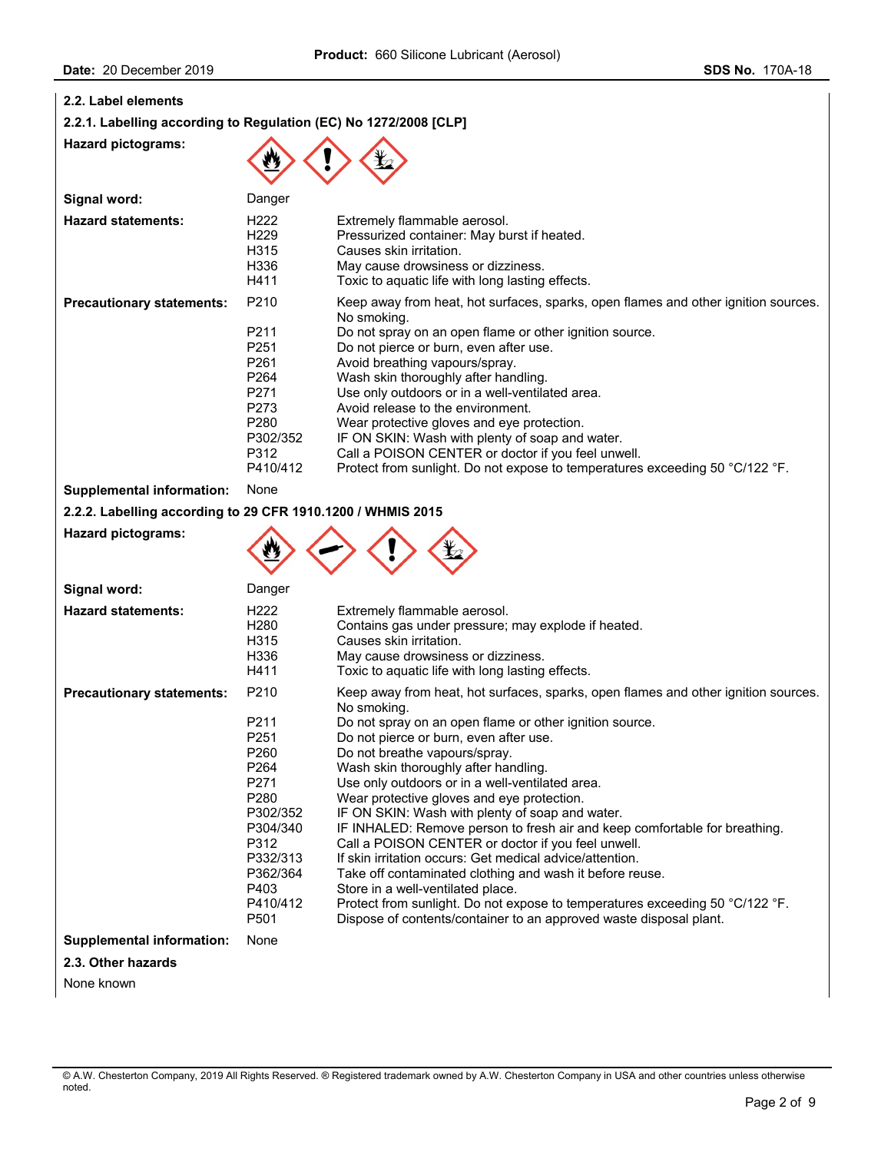**Supplemental information:** None

**2.3. Other hazards** 

None known

| Date: 20 December 2019                                                                  |                                                                                                                                              | <b>SDS No. 170A-18</b>                                                                                                                                                                                                                                                                                                                                                                                                                                                                                                                                                                                                              |  |
|-----------------------------------------------------------------------------------------|----------------------------------------------------------------------------------------------------------------------------------------------|-------------------------------------------------------------------------------------------------------------------------------------------------------------------------------------------------------------------------------------------------------------------------------------------------------------------------------------------------------------------------------------------------------------------------------------------------------------------------------------------------------------------------------------------------------------------------------------------------------------------------------------|--|
| 2.2. Label elements<br>2.2.1. Labelling according to Regulation (EC) No 1272/2008 [CLP] |                                                                                                                                              |                                                                                                                                                                                                                                                                                                                                                                                                                                                                                                                                                                                                                                     |  |
| <b>Hazard pictograms:</b>                                                               |                                                                                                                                              |                                                                                                                                                                                                                                                                                                                                                                                                                                                                                                                                                                                                                                     |  |
| Signal word:                                                                            | Danger                                                                                                                                       |                                                                                                                                                                                                                                                                                                                                                                                                                                                                                                                                                                                                                                     |  |
| <b>Hazard statements:</b>                                                               | H <sub>222</sub><br>H <sub>229</sub><br>H315<br>H336<br>H411                                                                                 | Extremely flammable aerosol.<br>Pressurized container: May burst if heated.<br>Causes skin irritation.<br>May cause drowsiness or dizziness.<br>Toxic to aquatic life with long lasting effects.                                                                                                                                                                                                                                                                                                                                                                                                                                    |  |
| <b>Precautionary statements:</b>                                                        | P210<br>P <sub>211</sub><br>P <sub>251</sub><br>P <sub>261</sub><br>P <sub>264</sub><br>P271<br>P273<br>P280<br>P302/352<br>P312<br>P410/412 | Keep away from heat, hot surfaces, sparks, open flames and other ignition sources.<br>No smoking.<br>Do not spray on an open flame or other ignition source.<br>Do not pierce or burn, even after use.<br>Avoid breathing vapours/spray.<br>Wash skin thoroughly after handling.<br>Use only outdoors or in a well-ventilated area.<br>Avoid release to the environment.<br>Wear protective gloves and eye protection.<br>IF ON SKIN: Wash with plenty of soap and water.<br>Call a POISON CENTER or doctor if you feel unwell.<br>Protect from sunlight. Do not expose to temperatures exceeding 50 °C/122 °F.                     |  |
| <b>Supplemental information:</b>                                                        | None                                                                                                                                         |                                                                                                                                                                                                                                                                                                                                                                                                                                                                                                                                                                                                                                     |  |
| 2.2.2. Labelling according to 29 CFR 1910.1200 / WHMIS 2015                             |                                                                                                                                              |                                                                                                                                                                                                                                                                                                                                                                                                                                                                                                                                                                                                                                     |  |
| <b>Hazard pictograms:</b>                                                               |                                                                                                                                              |                                                                                                                                                                                                                                                                                                                                                                                                                                                                                                                                                                                                                                     |  |
| Signal word:                                                                            | Danger                                                                                                                                       |                                                                                                                                                                                                                                                                                                                                                                                                                                                                                                                                                                                                                                     |  |
| <b>Hazard statements:</b>                                                               | H <sub>222</sub><br>H <sub>280</sub><br>H315<br>H336<br>H411                                                                                 | Extremely flammable aerosol.<br>Contains gas under pressure; may explode if heated.<br>Causes skin irritation.<br>May cause drowsiness or dizziness.<br>Toxic to aquatic life with long lasting effects.                                                                                                                                                                                                                                                                                                                                                                                                                            |  |
| <b>Precautionary statements:</b>                                                        | P210<br>P211<br>P <sub>251</sub><br>P260<br>P <sub>264</sub><br>P271<br>P280<br>P302/352<br>P304/340<br>P312<br>P332/313                     | Keep away from heat, hot surfaces, sparks, open flames and other ignition sources.<br>No smoking.<br>Do not spray on an open flame or other ignition source.<br>Do not pierce or burn, even after use.<br>Do not breathe vapours/spray.<br>Wash skin thoroughly after handling.<br>Use only outdoors or in a well-ventilated area.<br>Wear protective gloves and eye protection.<br>IF ON SKIN: Wash with plenty of soap and water.<br>IF INHALED: Remove person to fresh air and keep comfortable for breathing.<br>Call a POISON CENTER or doctor if you feel unwell.<br>If skin irritation occurs: Get medical advice/attention. |  |

P403 Store in a well-ventilated place.<br>P410/412 Protect from sunlight. Do not ex

P332/313 If skin irritation occurs: Get medical advice/attention.<br>P362/364 Take off contaminated clothing and wash it before re P362/364 Take off contaminated clothing and wash it before reuse.<br>P403 Store in a well-ventilated place.

P501 Dispose of contents/container to an approved waste disposal plant.

Protect from sunlight. Do not expose to temperatures exceeding 50 °C/122 °F.

<sup>©</sup> A.W. Chesterton Company, 2019 All Rights Reserved. ® Registered trademark owned by A.W. Chesterton Company in USA and other countries unless otherwise noted.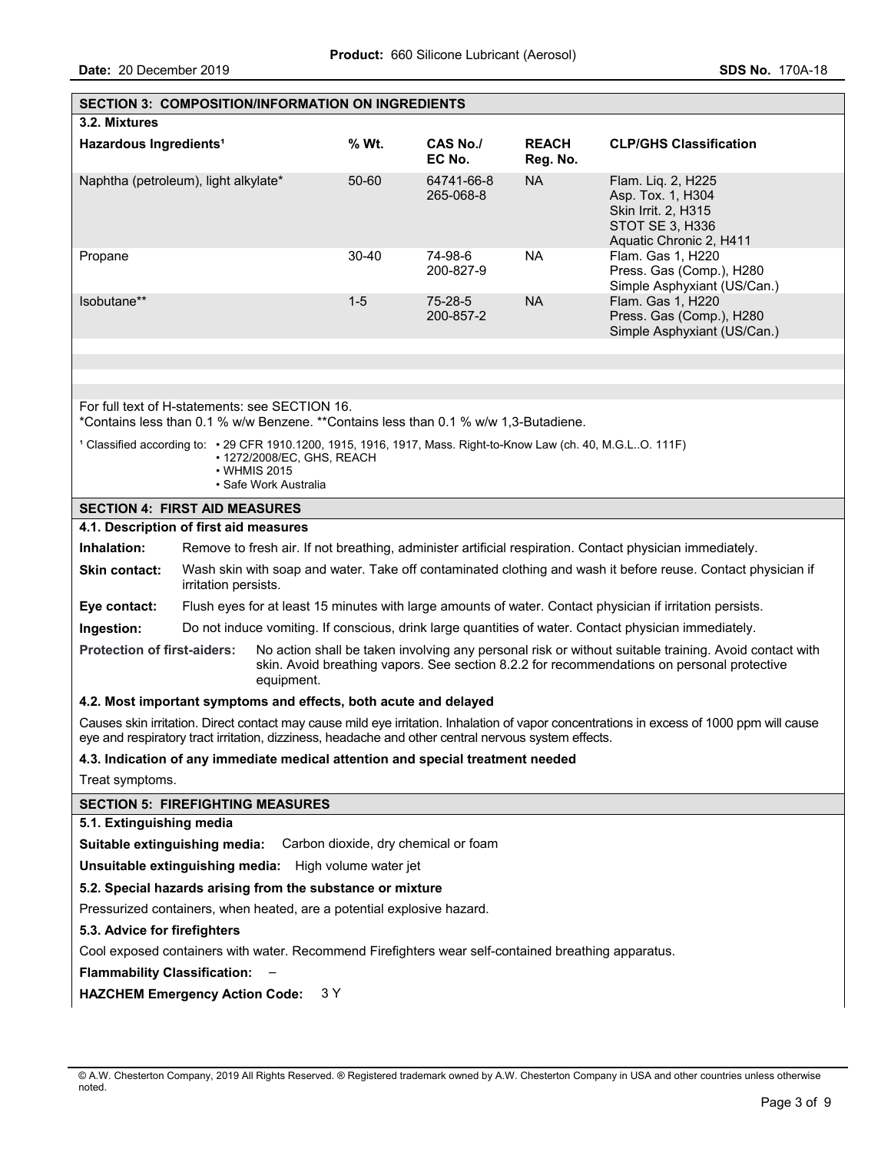| <b>SECTION 3: COMPOSITION/INFORMATION ON INGREDIENTS</b>                                                                                                                                                                                                |                                                                                                                                                                                        |  |           |                                                                                                     |                          |                                                                                                                                           |
|---------------------------------------------------------------------------------------------------------------------------------------------------------------------------------------------------------------------------------------------------------|----------------------------------------------------------------------------------------------------------------------------------------------------------------------------------------|--|-----------|-----------------------------------------------------------------------------------------------------|--------------------------|-------------------------------------------------------------------------------------------------------------------------------------------|
| 3.2. Mixtures                                                                                                                                                                                                                                           |                                                                                                                                                                                        |  |           |                                                                                                     |                          |                                                                                                                                           |
| Hazardous Ingredients <sup>1</sup>                                                                                                                                                                                                                      |                                                                                                                                                                                        |  | % Wt.     | CAS No./<br>EC No.                                                                                  | <b>REACH</b><br>Reg. No. | <b>CLP/GHS Classification</b>                                                                                                             |
| Naphtha (petroleum), light alkylate*                                                                                                                                                                                                                    |                                                                                                                                                                                        |  | 50-60     | 64741-66-8<br>265-068-8                                                                             | <b>NA</b>                | Flam. Liq. 2, H225<br>Asp. Tox. 1, H304<br>Skin Irrit. 2, H315<br>STOT SE 3, H336<br>Aquatic Chronic 2, H411                              |
| Propane                                                                                                                                                                                                                                                 |                                                                                                                                                                                        |  | $30 - 40$ | 74-98-6<br>200-827-9                                                                                | <b>NA</b>                | Flam. Gas 1, H220<br>Press. Gas (Comp.), H280<br>Simple Asphyxiant (US/Can.)                                                              |
| Isobutane**                                                                                                                                                                                                                                             |                                                                                                                                                                                        |  | $1 - 5$   | 75-28-5<br>200-857-2                                                                                | <b>NA</b>                | Flam. Gas 1, H220<br>Press. Gas (Comp.), H280<br>Simple Asphyxiant (US/Can.)                                                              |
|                                                                                                                                                                                                                                                         |                                                                                                                                                                                        |  |           |                                                                                                     |                          |                                                                                                                                           |
|                                                                                                                                                                                                                                                         |                                                                                                                                                                                        |  |           |                                                                                                     |                          |                                                                                                                                           |
| For full text of H-statements: see SECTION 16.                                                                                                                                                                                                          |                                                                                                                                                                                        |  |           | *Contains less than 0.1 % w/w Benzene. **Contains less than 0.1 % w/w 1,3-Butadiene.                |                          |                                                                                                                                           |
|                                                                                                                                                                                                                                                         | 1 Classified according to: • 29 CFR 1910.1200, 1915, 1916, 1917, Mass. Right-to-Know Law (ch. 40, M.G.LO. 111F)<br>• 1272/2008/EC, GHS, REACH<br>• WHMIS 2015<br>• Safe Work Australia |  |           |                                                                                                     |                          |                                                                                                                                           |
| <b>SECTION 4: FIRST AID MEASURES</b>                                                                                                                                                                                                                    |                                                                                                                                                                                        |  |           |                                                                                                     |                          |                                                                                                                                           |
| 4.1. Description of first aid measures                                                                                                                                                                                                                  |                                                                                                                                                                                        |  |           |                                                                                                     |                          |                                                                                                                                           |
| Inhalation:                                                                                                                                                                                                                                             | Remove to fresh air. If not breathing, administer artificial respiration. Contact physician immediately.                                                                               |  |           |                                                                                                     |                          |                                                                                                                                           |
| <b>Skin contact:</b>                                                                                                                                                                                                                                    | Wash skin with soap and water. Take off contaminated clothing and wash it before reuse. Contact physician if<br>irritation persists.                                                   |  |           |                                                                                                     |                          |                                                                                                                                           |
| Eye contact:                                                                                                                                                                                                                                            | Flush eyes for at least 15 minutes with large amounts of water. Contact physician if irritation persists.                                                                              |  |           |                                                                                                     |                          |                                                                                                                                           |
| Ingestion:<br>Do not induce vomiting. If conscious, drink large quantities of water. Contact physician immediately.                                                                                                                                     |                                                                                                                                                                                        |  |           |                                                                                                     |                          |                                                                                                                                           |
| <b>Protection of first-aiders:</b><br>No action shall be taken involving any personal risk or without suitable training. Avoid contact with<br>skin. Avoid breathing vapors. See section 8.2.2 for recommendations on personal protective<br>equipment. |                                                                                                                                                                                        |  |           |                                                                                                     |                          |                                                                                                                                           |
| 4.2. Most important symptoms and effects, both acute and delayed                                                                                                                                                                                        |                                                                                                                                                                                        |  |           |                                                                                                     |                          |                                                                                                                                           |
|                                                                                                                                                                                                                                                         |                                                                                                                                                                                        |  |           | eye and respiratory tract irritation, dizziness, headache and other central nervous system effects. |                          | Causes skin irritation. Direct contact may cause mild eye irritation. Inhalation of vapor concentrations in excess of 1000 ppm will cause |
|                                                                                                                                                                                                                                                         |                                                                                                                                                                                        |  |           | 4.3. Indication of any immediate medical attention and special treatment needed                     |                          |                                                                                                                                           |
| Treat symptoms.                                                                                                                                                                                                                                         |                                                                                                                                                                                        |  |           |                                                                                                     |                          |                                                                                                                                           |
| <b>SECTION 5: FIREFIGHTING MEASURES</b>                                                                                                                                                                                                                 |                                                                                                                                                                                        |  |           |                                                                                                     |                          |                                                                                                                                           |
| 5.1. Extinguishing media                                                                                                                                                                                                                                |                                                                                                                                                                                        |  |           |                                                                                                     |                          |                                                                                                                                           |
| Suitable extinguishing media: Carbon dioxide, dry chemical or foam                                                                                                                                                                                      |                                                                                                                                                                                        |  |           |                                                                                                     |                          |                                                                                                                                           |
| Unsuitable extinguishing media: High volume water jet                                                                                                                                                                                                   |                                                                                                                                                                                        |  |           |                                                                                                     |                          |                                                                                                                                           |
|                                                                                                                                                                                                                                                         | 5.2. Special hazards arising from the substance or mixture                                                                                                                             |  |           |                                                                                                     |                          |                                                                                                                                           |
| Pressurized containers, when heated, are a potential explosive hazard.                                                                                                                                                                                  |                                                                                                                                                                                        |  |           |                                                                                                     |                          |                                                                                                                                           |
| 5.3. Advice for firefighters                                                                                                                                                                                                                            |                                                                                                                                                                                        |  |           |                                                                                                     |                          |                                                                                                                                           |
| Cool exposed containers with water. Recommend Firefighters wear self-contained breathing apparatus.                                                                                                                                                     |                                                                                                                                                                                        |  |           |                                                                                                     |                          |                                                                                                                                           |
| <b>Flammability Classification:</b>                                                                                                                                                                                                                     |                                                                                                                                                                                        |  |           |                                                                                                     |                          |                                                                                                                                           |
|                                                                                                                                                                                                                                                         | <b>HAZCHEM Emergency Action Code:</b><br>3 Y                                                                                                                                           |  |           |                                                                                                     |                          |                                                                                                                                           |

<sup>©</sup> A.W. Chesterton Company, 2019 All Rights Reserved. ® Registered trademark owned by A.W. Chesterton Company in USA and other countries unless otherwise noted.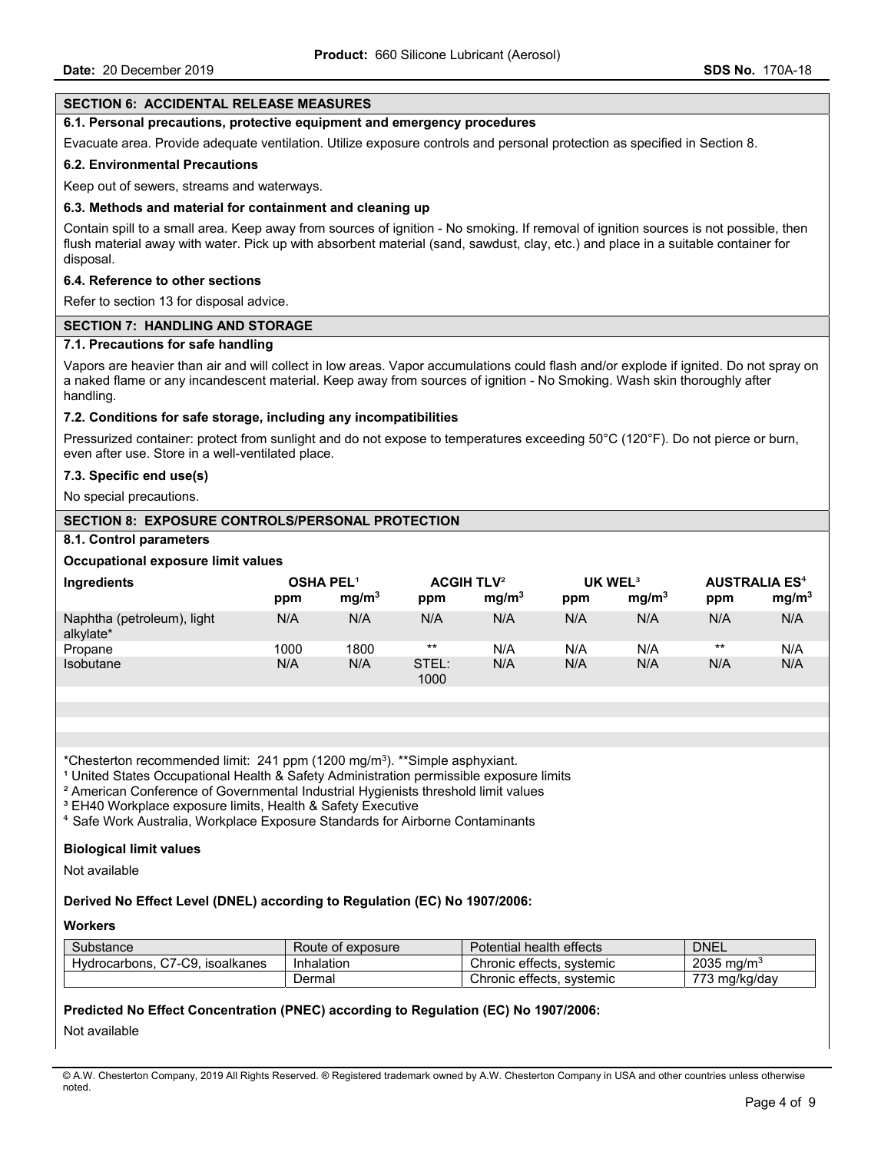## **SECTION 6: ACCIDENTAL RELEASE MEASURES**

### **6.1. Personal precautions, protective equipment and emergency procedures**

Evacuate area. Provide adequate ventilation. Utilize exposure controls and personal protection as specified in Section 8.

#### **6.2. Environmental Precautions**

Keep out of sewers, streams and waterways.

#### **6.3. Methods and material for containment and cleaning up**

Contain spill to a small area. Keep away from sources of ignition - No smoking. If removal of ignition sources is not possible, then flush material away with water. Pick up with absorbent material (sand, sawdust, clay, etc.) and place in a suitable container for disposal.

#### **6.4. Reference to other sections**

Refer to section 13 for disposal advice.

#### **SECTION 7: HANDLING AND STORAGE**

#### **7.1. Precautions for safe handling**

Vapors are heavier than air and will collect in low areas. Vapor accumulations could flash and/or explode if ignited. Do not spray on a naked flame or any incandescent material. Keep away from sources of ignition - No Smoking. Wash skin thoroughly after handling.

### **7.2. Conditions for safe storage, including any incompatibilities**

Pressurized container: protect from sunlight and do not expose to temperatures exceeding 50°C (120°F). Do not pierce or burn, even after use. Store in a well-ventilated place.

### **7.3. Specific end use(s)**

No special precautions.

## **SECTION 8: EXPOSURE CONTROLS/PERSONAL PROTECTION**

#### **8.1. Control parameters**

### **Occupational exposure limit values**

| Ingredients                             | <b>OSHA PEL<sup>1</sup></b> |                   | <b>ACGIH TLV<sup>2</sup></b> |                   | UK WEL <sup>3</sup> |                   | <b>AUSTRALIA ES<sup>4</sup></b> |                   |
|-----------------------------------------|-----------------------------|-------------------|------------------------------|-------------------|---------------------|-------------------|---------------------------------|-------------------|
|                                         | ppm                         | mg/m <sup>3</sup> | ppm                          | mg/m <sup>3</sup> | ppm                 | mq/m <sup>3</sup> | ppm                             | mg/m <sup>3</sup> |
| Naphtha (petroleum), light<br>alkylate* | N/A                         | N/A               | N/A                          | N/A               | N/A                 | N/A               | N/A                             | N/A               |
| Propane                                 | 1000                        | 1800              | $***$                        | N/A               | N/A                 | N/A               | $***$                           | N/A               |
| <b>Isobutane</b>                        | N/A                         | N/A               | STEL:<br>1000                | N/A               | N/A                 | N/A               | N/A                             | N/A               |

\*Chesterton recommended limit: 241 ppm (1200 mg/m3). \*\*Simple asphyxiant.

<sup>1</sup> United States Occupational Health & Safety Administration permissible exposure limits

² American Conference of Governmental Industrial Hygienists threshold limit values

<sup>3</sup> EH40 Workplace exposure limits, Health & Safety Executive

⁴ Safe Work Australia, Workplace Exposure Standards for Airborne Contaminants

## **Biological limit values**

Not available

### **Derived No Effect Level (DNEL) according to Regulation (EC) No 1907/2006:**

#### **Workers**

| Substance                             | Route of exposure | Potential health effects  | <b>DNEL</b>         |
|---------------------------------------|-------------------|---------------------------|---------------------|
| C7-C9.<br>isoalkanes<br>Hydrocarbons. | Inhalation        | Chronic effects, systemic | 2035<br>ma/mª ر     |
|                                       | ا ermal           | Chronic effects, systemic | ララハ<br>73 mg/kg/dav |

### **Predicted No Effect Concentration (PNEC) according to Regulation (EC) No 1907/2006:**

Not available

© A.W. Chesterton Company, 2019 All Rights Reserved. ® Registered trademark owned by A.W. Chesterton Company in USA and other countries unless otherwise noted.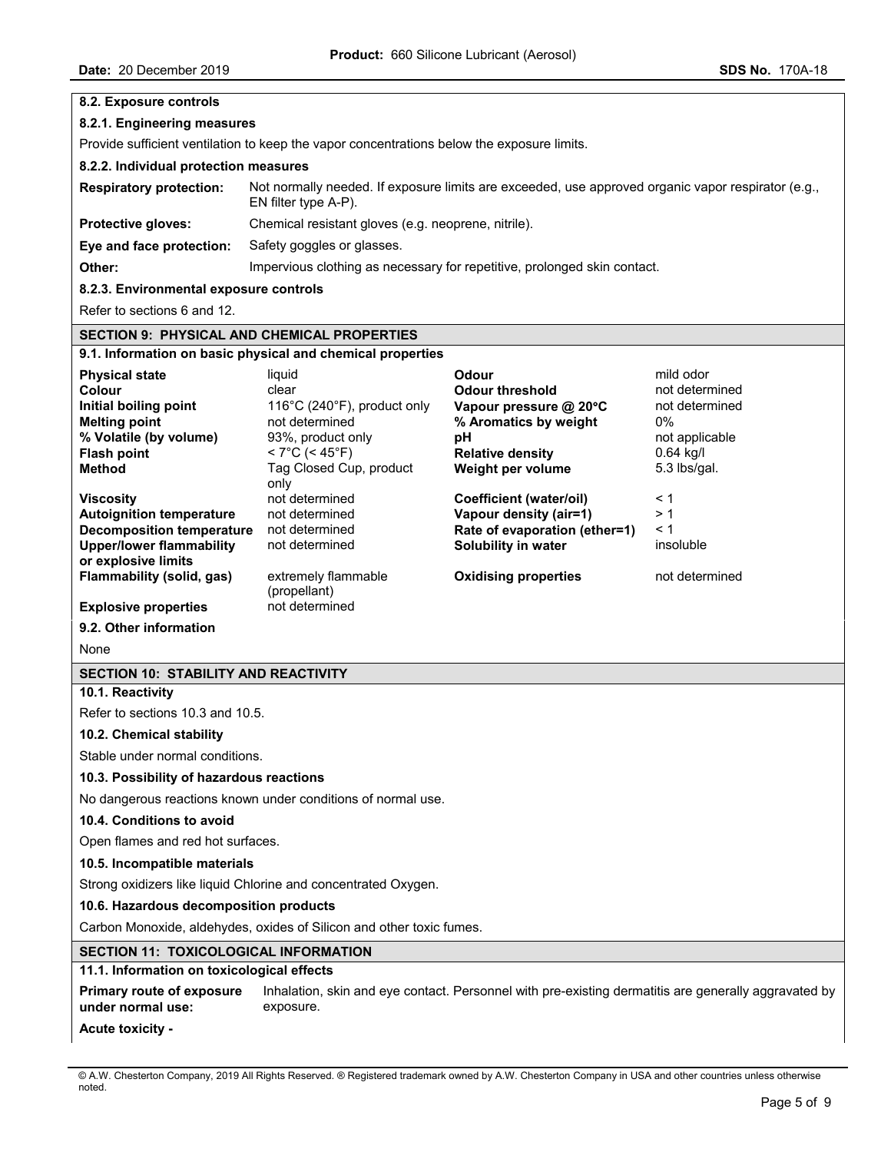| 8.2. Exposure controls                                                                                                                                                                |                                                                                                                                                         |                                                                                                                                                 |                                                                                                      |  |  |
|---------------------------------------------------------------------------------------------------------------------------------------------------------------------------------------|---------------------------------------------------------------------------------------------------------------------------------------------------------|-------------------------------------------------------------------------------------------------------------------------------------------------|------------------------------------------------------------------------------------------------------|--|--|
| 8.2.1. Engineering measures                                                                                                                                                           |                                                                                                                                                         |                                                                                                                                                 |                                                                                                      |  |  |
| Provide sufficient ventilation to keep the vapor concentrations below the exposure limits.                                                                                            |                                                                                                                                                         |                                                                                                                                                 |                                                                                                      |  |  |
| 8.2.2. Individual protection measures                                                                                                                                                 |                                                                                                                                                         |                                                                                                                                                 |                                                                                                      |  |  |
| <b>Respiratory protection:</b>                                                                                                                                                        | Not normally needed. If exposure limits are exceeded, use approved organic vapor respirator (e.g.,<br>EN filter type A-P).                              |                                                                                                                                                 |                                                                                                      |  |  |
| Protective gloves:                                                                                                                                                                    | Chemical resistant gloves (e.g. neoprene, nitrile).                                                                                                     |                                                                                                                                                 |                                                                                                      |  |  |
| Eye and face protection:                                                                                                                                                              | Safety goggles or glasses.                                                                                                                              |                                                                                                                                                 |                                                                                                      |  |  |
| Other:                                                                                                                                                                                | Impervious clothing as necessary for repetitive, prolonged skin contact.                                                                                |                                                                                                                                                 |                                                                                                      |  |  |
| 8.2.3. Environmental exposure controls                                                                                                                                                |                                                                                                                                                         |                                                                                                                                                 |                                                                                                      |  |  |
| Refer to sections 6 and 12.                                                                                                                                                           |                                                                                                                                                         |                                                                                                                                                 |                                                                                                      |  |  |
| <b>SECTION 9: PHYSICAL AND CHEMICAL PROPERTIES</b>                                                                                                                                    |                                                                                                                                                         |                                                                                                                                                 |                                                                                                      |  |  |
|                                                                                                                                                                                       | 9.1. Information on basic physical and chemical properties                                                                                              |                                                                                                                                                 |                                                                                                      |  |  |
| <b>Physical state</b><br>Colour<br>Initial boiling point<br><b>Melting point</b><br>% Volatile (by volume)<br><b>Flash point</b><br><b>Method</b>                                     | liquid<br>clear<br>116°C (240°F), product only<br>not determined<br>93%, product only<br>$< 7^{\circ}$ C (< 45 $^{\circ}$ F)<br>Tag Closed Cup, product | Odour<br><b>Odour threshold</b><br>Vapour pressure @ 20°C<br>% Aromatics by weight<br>рH<br><b>Relative density</b><br>Weight per volume        | mild odor<br>not determined<br>not determined<br>0%<br>not applicable<br>$0.64$ kg/l<br>5.3 lbs/gal. |  |  |
| <b>Viscosity</b><br><b>Autoignition temperature</b><br><b>Decomposition temperature</b><br><b>Upper/lower flammability</b><br>or explosive limits<br><b>Flammability (solid, gas)</b> | only<br>not determined<br>not determined<br>not determined<br>not determined<br>extremely flammable<br>(propellant)                                     | <b>Coefficient (water/oil)</b><br>Vapour density (air=1)<br>Rate of evaporation (ether=1)<br>Solubility in water<br><b>Oxidising properties</b> | $\leq 1$<br>> 1<br>< 1<br>insoluble<br>not determined                                                |  |  |
| <b>Explosive properties</b>                                                                                                                                                           | not determined                                                                                                                                          |                                                                                                                                                 |                                                                                                      |  |  |
| 9.2. Other information                                                                                                                                                                |                                                                                                                                                         |                                                                                                                                                 |                                                                                                      |  |  |
| None                                                                                                                                                                                  |                                                                                                                                                         |                                                                                                                                                 |                                                                                                      |  |  |
| <b>SECTION 10: STABILITY AND REACTIVITY</b>                                                                                                                                           |                                                                                                                                                         |                                                                                                                                                 |                                                                                                      |  |  |
| 10.1. Reactivity                                                                                                                                                                      |                                                                                                                                                         |                                                                                                                                                 |                                                                                                      |  |  |
| Refer to sections 10.3 and 10.5.                                                                                                                                                      |                                                                                                                                                         |                                                                                                                                                 |                                                                                                      |  |  |
| 10.2. Chemical stability                                                                                                                                                              |                                                                                                                                                         |                                                                                                                                                 |                                                                                                      |  |  |
| Stable under normal conditions.                                                                                                                                                       |                                                                                                                                                         |                                                                                                                                                 |                                                                                                      |  |  |
| 10.3. Possibility of hazardous reactions                                                                                                                                              |                                                                                                                                                         |                                                                                                                                                 |                                                                                                      |  |  |
|                                                                                                                                                                                       | No dangerous reactions known under conditions of normal use.                                                                                            |                                                                                                                                                 |                                                                                                      |  |  |
| 10.4. Conditions to avoid                                                                                                                                                             |                                                                                                                                                         |                                                                                                                                                 |                                                                                                      |  |  |
| Open flames and red hot surfaces.                                                                                                                                                     |                                                                                                                                                         |                                                                                                                                                 |                                                                                                      |  |  |
| 10.5. Incompatible materials                                                                                                                                                          |                                                                                                                                                         |                                                                                                                                                 |                                                                                                      |  |  |
| Strong oxidizers like liquid Chlorine and concentrated Oxygen.                                                                                                                        |                                                                                                                                                         |                                                                                                                                                 |                                                                                                      |  |  |
| 10.6. Hazardous decomposition products                                                                                                                                                |                                                                                                                                                         |                                                                                                                                                 |                                                                                                      |  |  |
|                                                                                                                                                                                       | Carbon Monoxide, aldehydes, oxides of Silicon and other toxic fumes.                                                                                    |                                                                                                                                                 |                                                                                                      |  |  |
| <b>SECTION 11: TOXICOLOGICAL INFORMATION</b>                                                                                                                                          |                                                                                                                                                         |                                                                                                                                                 |                                                                                                      |  |  |
| 11.1. Information on toxicological effects                                                                                                                                            |                                                                                                                                                         |                                                                                                                                                 |                                                                                                      |  |  |
| <b>Primary route of exposure</b><br>under normal use:                                                                                                                                 | Inhalation, skin and eye contact. Personnel with pre-existing dermatitis are generally aggravated by<br>exposure.                                       |                                                                                                                                                 |                                                                                                      |  |  |
| <b>Acute toxicity -</b>                                                                                                                                                               |                                                                                                                                                         |                                                                                                                                                 |                                                                                                      |  |  |

<sup>©</sup> A.W. Chesterton Company, 2019 All Rights Reserved. ® Registered trademark owned by A.W. Chesterton Company in USA and other countries unless otherwise noted.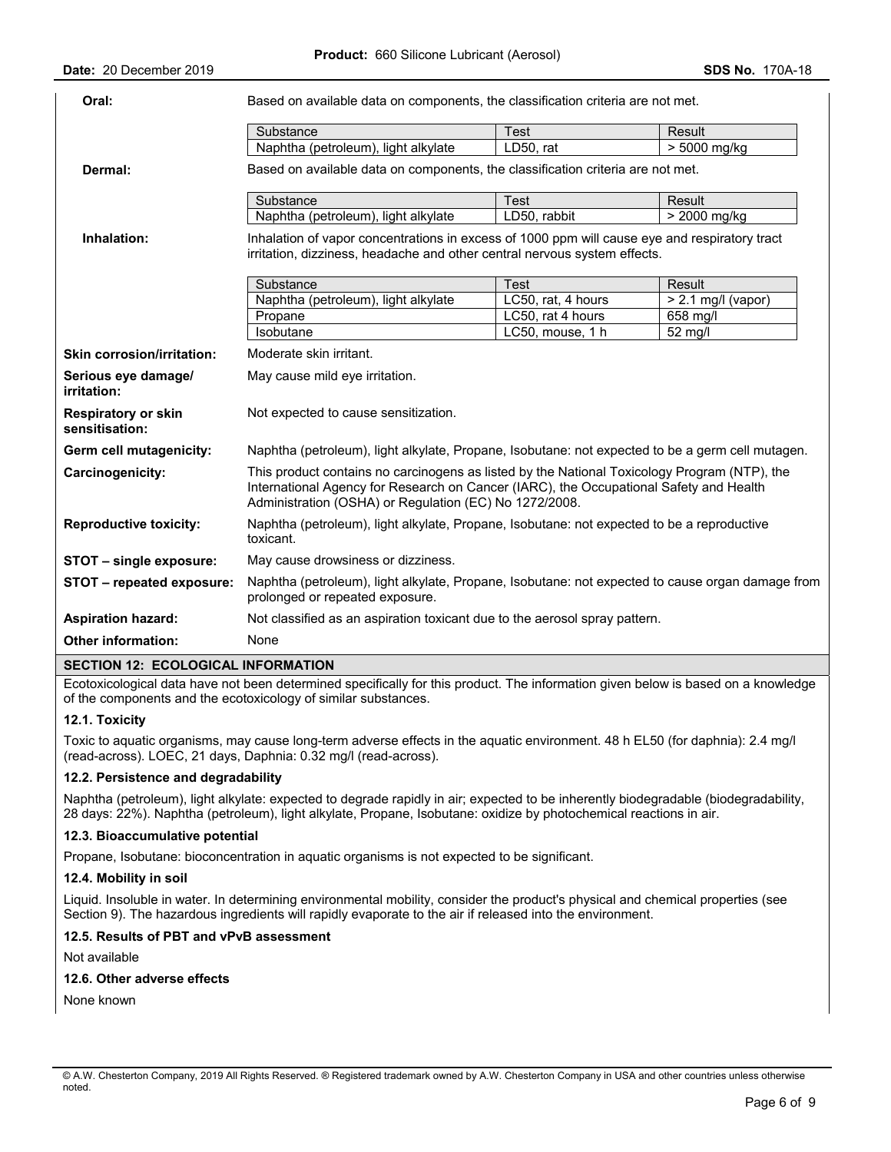| Oral:                                        | Based on available data on components, the classification criteria are not met.                                                                                                                                                                  |                    |                      |  |  |  |
|----------------------------------------------|--------------------------------------------------------------------------------------------------------------------------------------------------------------------------------------------------------------------------------------------------|--------------------|----------------------|--|--|--|
|                                              | Substance                                                                                                                                                                                                                                        | Test               | Result               |  |  |  |
|                                              | Naphtha (petroleum), light alkylate                                                                                                                                                                                                              | LD50, rat          | $> 5000$ mg/kg       |  |  |  |
| Dermal:                                      | Based on available data on components, the classification criteria are not met.                                                                                                                                                                  |                    |                      |  |  |  |
|                                              | Substance                                                                                                                                                                                                                                        | <b>Test</b>        | Result               |  |  |  |
|                                              | Naphtha (petroleum), light alkylate                                                                                                                                                                                                              | LD50, rabbit       | > 2000 mg/kg         |  |  |  |
| Inhalation:                                  | Inhalation of vapor concentrations in excess of 1000 ppm will cause eye and respiratory tract<br>irritation, dizziness, headache and other central nervous system effects.                                                                       |                    |                      |  |  |  |
|                                              | Substance                                                                                                                                                                                                                                        | <b>Test</b>        | Result               |  |  |  |
|                                              | Naphtha (petroleum), light alkylate                                                                                                                                                                                                              | LC50, rat, 4 hours | $> 2.1$ mg/l (vapor) |  |  |  |
|                                              | Propane                                                                                                                                                                                                                                          | LC50, rat 4 hours  | $658$ mg/l           |  |  |  |
|                                              | Isobutane                                                                                                                                                                                                                                        | LC50, mouse, 1 h   | $52 \text{ mg/l}$    |  |  |  |
| <b>Skin corrosion/irritation:</b>            | Moderate skin irritant.                                                                                                                                                                                                                          |                    |                      |  |  |  |
| Serious eye damage/<br>irritation:           | May cause mild eye irritation.                                                                                                                                                                                                                   |                    |                      |  |  |  |
| <b>Respiratory or skin</b><br>sensitisation: | Not expected to cause sensitization.                                                                                                                                                                                                             |                    |                      |  |  |  |
| Germ cell mutagenicity:                      | Naphtha (petroleum), light alkylate, Propane, Isobutane: not expected to be a germ cell mutagen.                                                                                                                                                 |                    |                      |  |  |  |
| Carcinogenicity:                             | This product contains no carcinogens as listed by the National Toxicology Program (NTP), the<br>International Agency for Research on Cancer (IARC), the Occupational Safety and Health<br>Administration (OSHA) or Regulation (EC) No 1272/2008. |                    |                      |  |  |  |
| <b>Reproductive toxicity:</b>                | Naphtha (petroleum), light alkylate, Propane, Isobutane: not expected to be a reproductive<br>toxicant.                                                                                                                                          |                    |                      |  |  |  |
| STOT - single exposure:                      | May cause drowsiness or dizziness.                                                                                                                                                                                                               |                    |                      |  |  |  |
| STOT - repeated exposure:                    | Naphtha (petroleum), light alkylate, Propane, Isobutane: not expected to cause organ damage from<br>prolonged or repeated exposure.                                                                                                              |                    |                      |  |  |  |
| <b>Aspiration hazard:</b>                    | Not classified as an aspiration toxicant due to the aerosol spray pattern.                                                                                                                                                                       |                    |                      |  |  |  |
| <b>Other information:</b>                    | None                                                                                                                                                                                                                                             |                    |                      |  |  |  |
|                                              |                                                                                                                                                                                                                                                  |                    |                      |  |  |  |

## **SECTION 12: ECOLOGICAL INFORMATION**

Ecotoxicological data have not been determined specifically for this product. The information given below is based on a knowledge of the components and the ecotoxicology of similar substances.

## **12.1. Toxicity**

Toxic to aquatic organisms, may cause long-term adverse effects in the aquatic environment. 48 h EL50 (for daphnia): 2.4 mg/l (read-across). LOEC, 21 days, Daphnia: 0.32 mg/l (read-across).

## **12.2. Persistence and degradability**

Naphtha (petroleum), light alkylate: expected to degrade rapidly in air; expected to be inherently biodegradable (biodegradability, 28 days: 22%). Naphtha (petroleum), light alkylate, Propane, Isobutane: oxidize by photochemical reactions in air.

## **12.3. Bioaccumulative potential**

Propane, Isobutane: bioconcentration in aquatic organisms is not expected to be significant.

### **12.4. Mobility in soil**

Liquid. Insoluble in water. In determining environmental mobility, consider the product's physical and chemical properties (see Section 9). The hazardous ingredients will rapidly evaporate to the air if released into the environment.

## **12.5. Results of PBT and vPvB assessment**

Not available

#### **12.6. Other adverse effects**

None known

<sup>©</sup> A.W. Chesterton Company, 2019 All Rights Reserved. ® Registered trademark owned by A.W. Chesterton Company in USA and other countries unless otherwise noted.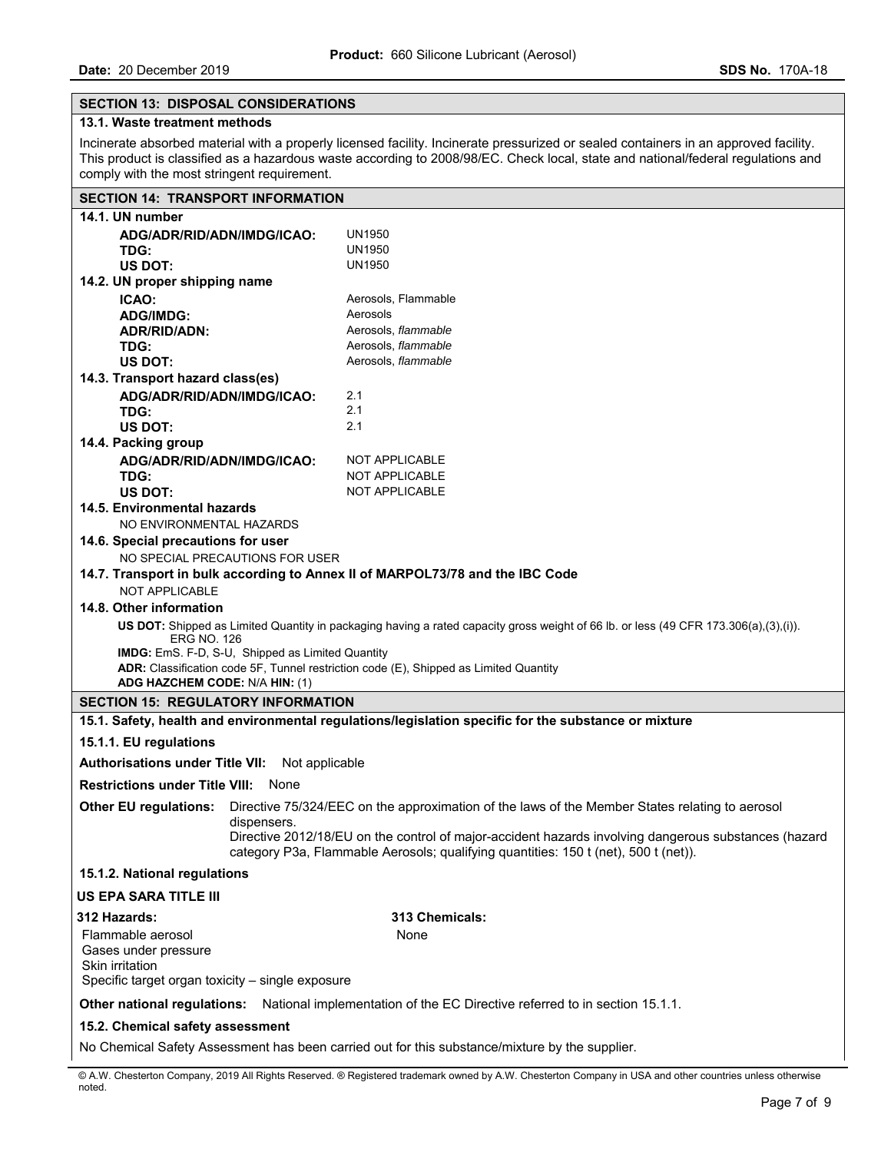## **SECTION 13: DISPOSAL CONSIDERATIONS**

## **13.1. Waste treatment methods**

Incinerate absorbed material with a properly licensed facility. Incinerate pressurized or sealed containers in an approved facility. This product is classified as a hazardous waste according to 2008/98/EC. Check local, state and national/federal regulations and comply with the most stringent requirement.

# **SECTION 14: TRANSPORT INFORMATION**

| 14.1. UN number                                                                                                                           |                                                                                                        |                                                                                                                                                                                             |  |  |  |
|-------------------------------------------------------------------------------------------------------------------------------------------|--------------------------------------------------------------------------------------------------------|---------------------------------------------------------------------------------------------------------------------------------------------------------------------------------------------|--|--|--|
| ADG/ADR/RID/ADN/IMDG/ICAO:                                                                                                                |                                                                                                        | UN1950                                                                                                                                                                                      |  |  |  |
| TDG:                                                                                                                                      |                                                                                                        | UN1950                                                                                                                                                                                      |  |  |  |
| <b>US DOT:</b>                                                                                                                            |                                                                                                        | UN1950                                                                                                                                                                                      |  |  |  |
| 14.2. UN proper shipping name                                                                                                             |                                                                                                        |                                                                                                                                                                                             |  |  |  |
| ICAO:                                                                                                                                     |                                                                                                        | Aerosols, Flammable                                                                                                                                                                         |  |  |  |
| <b>ADG/IMDG:</b>                                                                                                                          |                                                                                                        | Aerosols                                                                                                                                                                                    |  |  |  |
| ADR/RID/ADN:                                                                                                                              |                                                                                                        | Aerosols, flammable                                                                                                                                                                         |  |  |  |
| TDG:                                                                                                                                      |                                                                                                        | Aerosols, flammable                                                                                                                                                                         |  |  |  |
| <b>US DOT:</b>                                                                                                                            |                                                                                                        | Aerosols, flammable                                                                                                                                                                         |  |  |  |
| 14.3. Transport hazard class(es)                                                                                                          |                                                                                                        |                                                                                                                                                                                             |  |  |  |
| ADG/ADR/RID/ADN/IMDG/ICAO:                                                                                                                |                                                                                                        | 2.1                                                                                                                                                                                         |  |  |  |
| TDG:                                                                                                                                      |                                                                                                        | 2.1                                                                                                                                                                                         |  |  |  |
| <b>US DOT:</b>                                                                                                                            |                                                                                                        | 2.1                                                                                                                                                                                         |  |  |  |
| 14.4. Packing group                                                                                                                       |                                                                                                        |                                                                                                                                                                                             |  |  |  |
| ADG/ADR/RID/ADN/IMDG/ICAO:                                                                                                                |                                                                                                        | NOT APPLICABLE                                                                                                                                                                              |  |  |  |
| TDG:                                                                                                                                      |                                                                                                        | <b>NOT APPLICABLE</b>                                                                                                                                                                       |  |  |  |
| <b>US DOT:</b>                                                                                                                            |                                                                                                        | <b>NOT APPLICABLE</b>                                                                                                                                                                       |  |  |  |
| 14.5. Environmental hazards                                                                                                               |                                                                                                        |                                                                                                                                                                                             |  |  |  |
| NO ENVIRONMENTAL HAZARDS                                                                                                                  |                                                                                                        |                                                                                                                                                                                             |  |  |  |
| 14.6. Special precautions for user                                                                                                        |                                                                                                        |                                                                                                                                                                                             |  |  |  |
|                                                                                                                                           | NO SPECIAL PRECAUTIONS FOR USER                                                                        |                                                                                                                                                                                             |  |  |  |
| <b>NOT APPLICABLE</b>                                                                                                                     | 14.7. Transport in bulk according to Annex II of MARPOL73/78 and the IBC Code                          |                                                                                                                                                                                             |  |  |  |
| 14.8. Other information                                                                                                                   |                                                                                                        |                                                                                                                                                                                             |  |  |  |
| US DOT: Shipped as Limited Quantity in packaging having a rated capacity gross weight of 66 lb. or less (49 CFR 173.306(a),(3),(i)).      |                                                                                                        |                                                                                                                                                                                             |  |  |  |
| <b>ERG NO. 126</b>                                                                                                                        |                                                                                                        |                                                                                                                                                                                             |  |  |  |
| IMDG: EmS. F-D, S-U, Shipped as Limited Quantity<br>ADR: Classification code 5F, Tunnel restriction code (E), Shipped as Limited Quantity |                                                                                                        |                                                                                                                                                                                             |  |  |  |
| ADG HAZCHEM CODE: N/A HIN: (1)                                                                                                            |                                                                                                        |                                                                                                                                                                                             |  |  |  |
| <b>SECTION 15: REGULATORY INFORMATION</b>                                                                                                 |                                                                                                        |                                                                                                                                                                                             |  |  |  |
|                                                                                                                                           |                                                                                                        | 15.1. Safety, health and environmental regulations/legislation specific for the substance or mixture                                                                                        |  |  |  |
| 15.1.1. EU regulations                                                                                                                    |                                                                                                        |                                                                                                                                                                                             |  |  |  |
| <b>Authorisations under Title VII:</b> Not applicable                                                                                     |                                                                                                        |                                                                                                                                                                                             |  |  |  |
| <b>Restrictions under Title VIII: None</b>                                                                                                |                                                                                                        |                                                                                                                                                                                             |  |  |  |
| <b>Other EU regulations:</b>                                                                                                              |                                                                                                        | Directive 75/324/EEC on the approximation of the laws of the Member States relating to aerosol                                                                                              |  |  |  |
|                                                                                                                                           | dispensers.                                                                                            |                                                                                                                                                                                             |  |  |  |
|                                                                                                                                           |                                                                                                        | Directive 2012/18/EU on the control of major-accident hazards involving dangerous substances (hazard<br>category P3a, Flammable Aerosols; qualifying quantities: 150 t (net), 500 t (net)). |  |  |  |
| 15.1.2. National regulations                                                                                                              |                                                                                                        |                                                                                                                                                                                             |  |  |  |
| <b>US EPA SARA TITLE III</b>                                                                                                              |                                                                                                        |                                                                                                                                                                                             |  |  |  |
| 312 Hazards:                                                                                                                              |                                                                                                        | 313 Chemicals:                                                                                                                                                                              |  |  |  |
| Flammable aerosol                                                                                                                         |                                                                                                        | None                                                                                                                                                                                        |  |  |  |
| Gases under pressure                                                                                                                      |                                                                                                        |                                                                                                                                                                                             |  |  |  |
| Skin irritation                                                                                                                           |                                                                                                        |                                                                                                                                                                                             |  |  |  |
| Specific target organ toxicity - single exposure                                                                                          |                                                                                                        |                                                                                                                                                                                             |  |  |  |
|                                                                                                                                           | Other national regulations: National implementation of the EC Directive referred to in section 15.1.1. |                                                                                                                                                                                             |  |  |  |
| 15.2. Chemical safety assessment                                                                                                          |                                                                                                        |                                                                                                                                                                                             |  |  |  |
|                                                                                                                                           |                                                                                                        |                                                                                                                                                                                             |  |  |  |

No Chemical Safety Assessment has been carried out for this substance/mixture by the supplier.

© A.W. Chesterton Company, 2019 All Rights Reserved. ® Registered trademark owned by A.W. Chesterton Company in USA and other countries unless otherwise noted.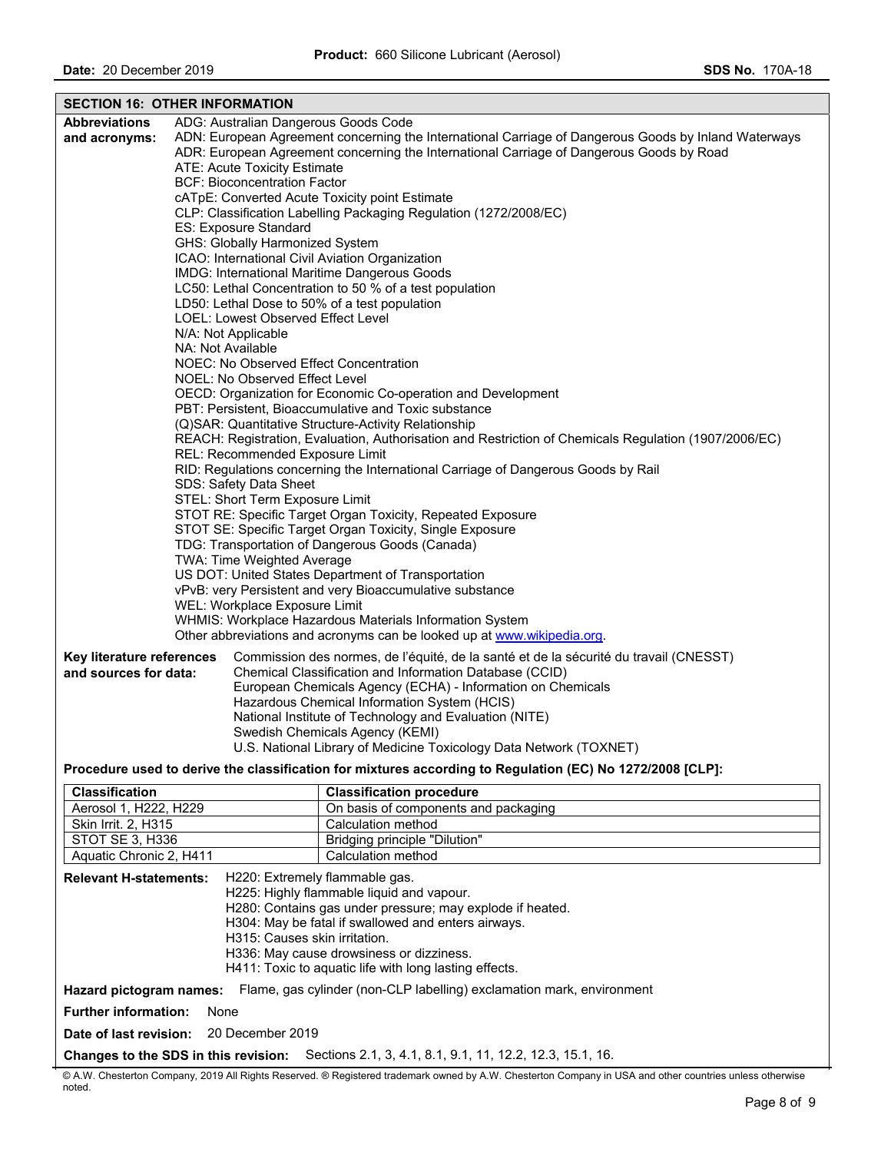|                                                                                           | <b>SECTION 16: OTHER INFORMATION</b>                     |                                                                                                                                                  |  |  |  |
|-------------------------------------------------------------------------------------------|----------------------------------------------------------|--------------------------------------------------------------------------------------------------------------------------------------------------|--|--|--|
| <b>Abbreviations</b>                                                                      | ADG: Australian Dangerous Goods Code                     |                                                                                                                                                  |  |  |  |
| and acronyms:                                                                             |                                                          | ADN: European Agreement concerning the International Carriage of Dangerous Goods by Inland Waterways                                             |  |  |  |
|                                                                                           |                                                          | ADR: European Agreement concerning the International Carriage of Dangerous Goods by Road                                                         |  |  |  |
|                                                                                           | ATE: Acute Toxicity Estimate                             |                                                                                                                                                  |  |  |  |
|                                                                                           | <b>BCF: Bioconcentration Factor</b>                      |                                                                                                                                                  |  |  |  |
|                                                                                           |                                                          | cATpE: Converted Acute Toxicity point Estimate<br>CLP: Classification Labelling Packaging Regulation (1272/2008/EC)                              |  |  |  |
|                                                                                           | ES: Exposure Standard                                    |                                                                                                                                                  |  |  |  |
|                                                                                           | GHS: Globally Harmonized System                          |                                                                                                                                                  |  |  |  |
|                                                                                           | ICAO: International Civil Aviation Organization          |                                                                                                                                                  |  |  |  |
|                                                                                           |                                                          | IMDG: International Maritime Dangerous Goods                                                                                                     |  |  |  |
|                                                                                           |                                                          | LC50: Lethal Concentration to 50 % of a test population                                                                                          |  |  |  |
|                                                                                           | LD50: Lethal Dose to 50% of a test population            |                                                                                                                                                  |  |  |  |
|                                                                                           | LOEL: Lowest Observed Effect Level                       |                                                                                                                                                  |  |  |  |
|                                                                                           | N/A: Not Applicable                                      |                                                                                                                                                  |  |  |  |
|                                                                                           | NA: Not Available                                        |                                                                                                                                                  |  |  |  |
|                                                                                           | NOEC: No Observed Effect Concentration                   |                                                                                                                                                  |  |  |  |
|                                                                                           | NOEL: No Observed Effect Level                           |                                                                                                                                                  |  |  |  |
|                                                                                           |                                                          | OECD: Organization for Economic Co-operation and Development<br>PBT: Persistent, Bioaccumulative and Toxic substance                             |  |  |  |
|                                                                                           |                                                          | (Q)SAR: Quantitative Structure-Activity Relationship                                                                                             |  |  |  |
|                                                                                           |                                                          | REACH: Registration, Evaluation, Authorisation and Restriction of Chemicals Regulation (1907/2006/EC)                                            |  |  |  |
|                                                                                           | REL: Recommended Exposure Limit                          |                                                                                                                                                  |  |  |  |
|                                                                                           |                                                          | RID: Regulations concerning the International Carriage of Dangerous Goods by Rail                                                                |  |  |  |
|                                                                                           | SDS: Safety Data Sheet                                   |                                                                                                                                                  |  |  |  |
|                                                                                           | STEL: Short Term Exposure Limit                          |                                                                                                                                                  |  |  |  |
|                                                                                           |                                                          | STOT RE: Specific Target Organ Toxicity, Repeated Exposure                                                                                       |  |  |  |
|                                                                                           | STOT SE: Specific Target Organ Toxicity, Single Exposure |                                                                                                                                                  |  |  |  |
| TDG: Transportation of Dangerous Goods (Canada)                                           |                                                          |                                                                                                                                                  |  |  |  |
| TWA: Time Weighted Average                                                                |                                                          |                                                                                                                                                  |  |  |  |
| US DOT: United States Department of Transportation                                        |                                                          |                                                                                                                                                  |  |  |  |
| vPvB: very Persistent and very Bioaccumulative substance<br>WEL: Workplace Exposure Limit |                                                          |                                                                                                                                                  |  |  |  |
|                                                                                           | WHMIS: Workplace Hazardous Materials Information System  |                                                                                                                                                  |  |  |  |
| Other abbreviations and acronyms can be looked up at www.wikipedia.org.                   |                                                          |                                                                                                                                                  |  |  |  |
|                                                                                           |                                                          |                                                                                                                                                  |  |  |  |
| Key literature references<br>and sources for data:                                        |                                                          | Commission des normes, de l'équité, de la santé et de la sécurité du travail (CNESST)<br>Chemical Classification and Information Database (CCID) |  |  |  |
|                                                                                           |                                                          | European Chemicals Agency (ECHA) - Information on Chemicals                                                                                      |  |  |  |
|                                                                                           |                                                          | Hazardous Chemical Information System (HCIS)                                                                                                     |  |  |  |
|                                                                                           |                                                          | National Institute of Technology and Evaluation (NITE)                                                                                           |  |  |  |
|                                                                                           |                                                          | Swedish Chemicals Agency (KEMI)                                                                                                                  |  |  |  |
|                                                                                           |                                                          | U.S. National Library of Medicine Toxicology Data Network (TOXNET)                                                                               |  |  |  |
|                                                                                           |                                                          | Procedure used to derive the classification for mixtures according to Regulation (EC) No 1272/2008 [CLP]:                                        |  |  |  |
| <b>Classification</b>                                                                     |                                                          | <b>Classification procedure</b>                                                                                                                  |  |  |  |
| Aerosol 1, H222, H229                                                                     |                                                          | On basis of components and packaging                                                                                                             |  |  |  |
| Skin Irrit. 2, H315                                                                       |                                                          | Calculation method                                                                                                                               |  |  |  |
| STOT SE 3, H336                                                                           |                                                          | Bridging principle "Dilution"                                                                                                                    |  |  |  |
| Aquatic Chronic 2, H411                                                                   |                                                          | Calculation method                                                                                                                               |  |  |  |
| <b>Relevant H-statements:</b>                                                             |                                                          | H220: Extremely flammable gas.                                                                                                                   |  |  |  |
|                                                                                           |                                                          | H225: Highly flammable liquid and vapour.                                                                                                        |  |  |  |
|                                                                                           |                                                          | H280: Contains gas under pressure; may explode if heated.                                                                                        |  |  |  |
|                                                                                           |                                                          | H304: May be fatal if swallowed and enters airways.                                                                                              |  |  |  |
|                                                                                           | H315: Causes skin irritation.                            |                                                                                                                                                  |  |  |  |

- H336: May cause drowsiness or dizziness.
- H411: Toxic to aquatic life with long lasting effects.

**Hazard pictogram names:** Flame, gas cylinder (non-CLP labelling) exclamation mark, environment

**Further information:** None

**Date of last revision:** 20 December 2019

**Changes to the SDS in this revision:** Sections 2.1, 3, 4.1, 8.1, 9.1, 11, 12.2, 12.3, 15.1, 16.

© A.W. Chesterton Company, 2019 All Rights Reserved. ® Registered trademark owned by A.W. Chesterton Company in USA and other countries unless otherwise noted.